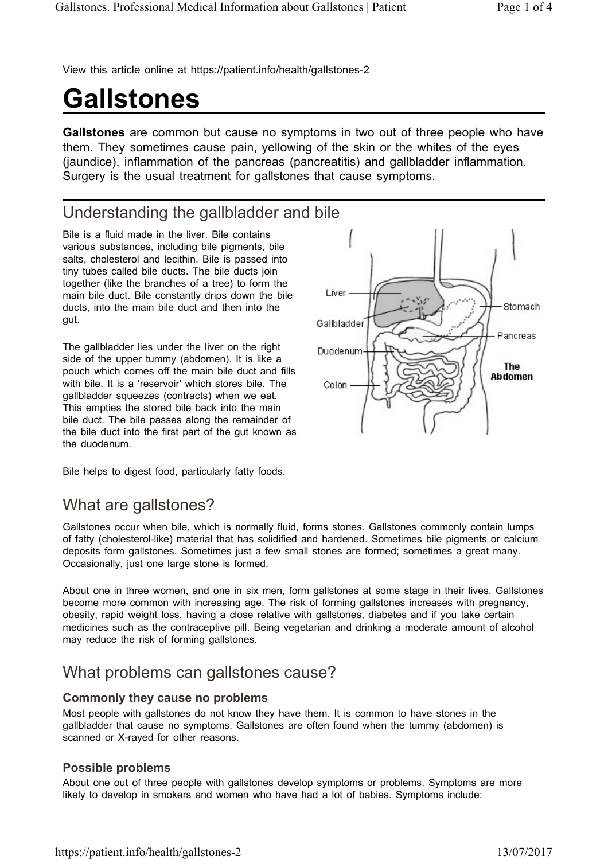View this article online at https://patient.info/health/gallstones-2

# **Gallstones**

**Gallstones** are common but cause no symptoms in two out of three people who have them. They sometimes cause pain, yellowing of the skin or the whites of the eyes (jaundice), inflammation of the pancreas (pancreatitis) and gallbladder inflammation. Surgery is the usual treatment for gallstones that cause symptoms.

# Understanding the gallbladder and bile

Bile is a fluid made in the liver. Bile contains various substances, including bile pigments, bile salts, cholesterol and lecithin. Bile is passed into tiny tubes called bile ducts. The bile ducts join together (like the branches of a tree) to form the main bile duct. Bile constantly drips down the bile ducts, into the main bile duct and then into the gut.

The gallbladder lies under the liver on the right side of the upper tummy (abdomen). It is like a pouch which comes off the main bile duct and fills with bile. It is a 'reservoir' which stores bile. The gallbladder squeezes (contracts) when we eat. This empties the stored bile back into the main bile duct. The bile passes along the remainder of the bile duct into the first part of the gut known as the duodenum.



Bile helps to digest food, particularly fatty foods.

# What are gallstones?

Gallstones occur when bile, which is normally fluid, forms stones. Gallstones commonly contain lumps of fatty (cholesterol-like) material that has solidified and hardened. Sometimes bile pigments or calcium deposits form gallstones. Sometimes just a few small stones are formed; sometimes a great many. Occasionally, just one large stone is formed.

About one in three women, and one in six men, form gallstones at some stage in their lives. Gallstones become more common with increasing age. The risk of forming gallstones increases with pregnancy, obesity, rapid weight loss, having a close relative with gallstones, diabetes and if you take certain medicines such as the contraceptive pill. Being vegetarian and drinking a moderate amount of alcohol may reduce the risk of forming gallstones.

## What problems can gallstones cause?

#### **Commonly they cause no problems**

Most people with gallstones do not know they have them. It is common to have stones in the gallbladder that cause no symptoms. Gallstones are often found when the tummy (abdomen) is scanned or X-rayed for other reasons.

#### **Possible problems**

About one out of three people with gallstones develop symptoms or problems. Symptoms are more likely to develop in smokers and women who have had a lot of babies. Symptoms include: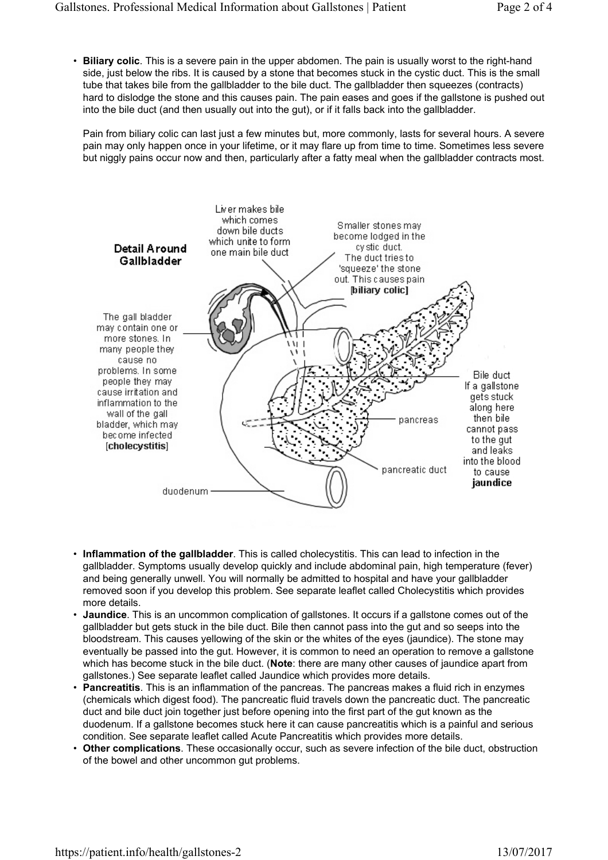• **Biliary colic**. This is a severe pain in the upper abdomen. The pain is usually worst to the right-hand side, just below the ribs. It is caused by a stone that becomes stuck in the cystic duct. This is the small tube that takes bile from the gallbladder to the bile duct. The gallbladder then squeezes (contracts) hard to dislodge the stone and this causes pain. The pain eases and goes if the gallstone is pushed out into the bile duct (and then usually out into the gut), or if it falls back into the gallbladder.

Pain from biliary colic can last just a few minutes but, more commonly, lasts for several hours. A severe pain may only happen once in your lifetime, or it may flare up from time to time. Sometimes less severe but niggly pains occur now and then, particularly after a fatty meal when the gallbladder contracts most.



- **Inflammation of the gallbladder**. This is called cholecystitis. This can lead to infection in the gallbladder. Symptoms usually develop quickly and include abdominal pain, high temperature (fever) and being generally unwell. You will normally be admitted to hospital and have your gallbladder removed soon if you develop this problem. See separate leaflet called Cholecystitis which provides more details.
- **Jaundice**. This is an uncommon complication of gallstones. It occurs if a gallstone comes out of the gallbladder but gets stuck in the bile duct. Bile then cannot pass into the gut and so seeps into the bloodstream. This causes yellowing of the skin or the whites of the eyes (jaundice). The stone may eventually be passed into the gut. However, it is common to need an operation to remove a gallstone which has become stuck in the bile duct. (**Note**: there are many other causes of jaundice apart from gallstones.) See separate leaflet called Jaundice which provides more details.
- **Pancreatitis**. This is an inflammation of the pancreas. The pancreas makes a fluid rich in enzymes (chemicals which digest food). The pancreatic fluid travels down the pancreatic duct. The pancreatic duct and bile duct join together just before opening into the first part of the gut known as the duodenum. If a gallstone becomes stuck here it can cause pancreatitis which is a painful and serious condition. See separate leaflet called Acute Pancreatitis which provides more details.
- **Other complications**. These occasionally occur, such as severe infection of the bile duct, obstruction of the bowel and other uncommon gut problems.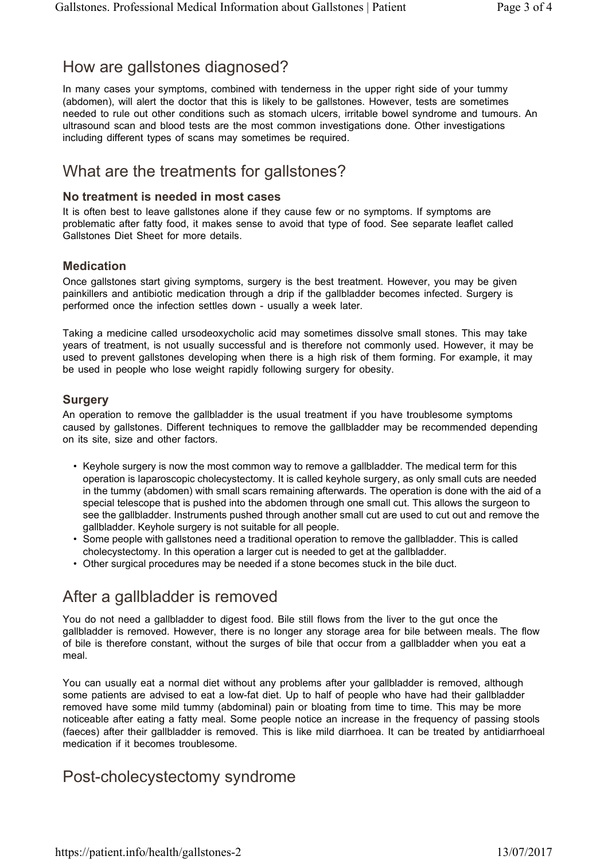## How are gallstones diagnosed?

In many cases your symptoms, combined with tenderness in the upper right side of your tummy (abdomen), will alert the doctor that this is likely to be gallstones. However, tests are sometimes needed to rule out other conditions such as stomach ulcers, irritable bowel syndrome and tumours. An ultrasound scan and blood tests are the most common investigations done. Other investigations including different types of scans may sometimes be required.

# What are the treatments for gallstones?

#### **No treatment is needed in most cases**

It is often best to leave gallstones alone if they cause few or no symptoms. If symptoms are problematic after fatty food, it makes sense to avoid that type of food. See separate leaflet called Gallstones Diet Sheet for more details.

#### **Medication**

Once gallstones start giving symptoms, surgery is the best treatment. However, you may be given painkillers and antibiotic medication through a drip if the gallbladder becomes infected. Surgery is performed once the infection settles down - usually a week later.

Taking a medicine called ursodeoxycholic acid may sometimes dissolve small stones. This may take years of treatment, is not usually successful and is therefore not commonly used. However, it may be used to prevent gallstones developing when there is a high risk of them forming. For example, it may be used in people who lose weight rapidly following surgery for obesity.

#### **Surgery**

An operation to remove the gallbladder is the usual treatment if you have troublesome symptoms caused by gallstones. Different techniques to remove the gallbladder may be recommended depending on its site, size and other factors.

- Keyhole surgery is now the most common way to remove a gallbladder. The medical term for this operation is laparoscopic cholecystectomy. It is called keyhole surgery, as only small cuts are needed in the tummy (abdomen) with small scars remaining afterwards. The operation is done with the aid of a special telescope that is pushed into the abdomen through one small cut. This allows the surgeon to see the gallbladder. Instruments pushed through another small cut are used to cut out and remove the gallbladder. Keyhole surgery is not suitable for all people.
- Some people with gallstones need a traditional operation to remove the gallbladder. This is called cholecystectomy. In this operation a larger cut is needed to get at the gallbladder.
- Other surgical procedures may be needed if a stone becomes stuck in the bile duct.

## After a gallbladder is removed

You do not need a gallbladder to digest food. Bile still flows from the liver to the gut once the gallbladder is removed. However, there is no longer any storage area for bile between meals. The flow of bile is therefore constant, without the surges of bile that occur from a gallbladder when you eat a meal.

You can usually eat a normal diet without any problems after your gallbladder is removed, although some patients are advised to eat a low-fat diet. Up to half of people who have had their gallbladder removed have some mild tummy (abdominal) pain or bloating from time to time. This may be more noticeable after eating a fatty meal. Some people notice an increase in the frequency of passing stools (faeces) after their gallbladder is removed. This is like mild diarrhoea. It can be treated by antidiarrhoeal medication if it becomes troublesome.

### Post-cholecystectomy syndrome